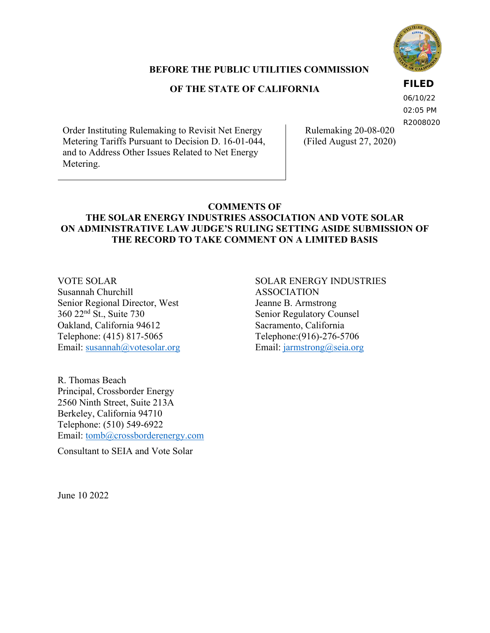

# **BEFORE THE PUBLIC UTILITIES COMMISSION**

# **OF THE STATE OF CALIFORNIA**

# **FILED**

06/10/22 02:05 PM R2008020

Order Instituting Rulemaking to Revisit Net Energy Metering Tariffs Pursuant to Decision D. 16-01-044, and to Address Other Issues Related to Net Energy Metering.

Rulemaking 20-08-020 (Filed August 27, 2020)

# **COMMENTS OF**

# **THE SOLAR ENERGY INDUSTRIES ASSOCIATION AND VOTE SOLAR ON ADMINISTRATIVE LAW JUDGE'S RULING SETTING ASIDE SUBMISSION OF THE RECORD TO TAKE COMMENT ON A LIMITED BASIS**

VOTE SOLAR Susannah Churchill Senior Regional Director, West 360 22nd St., Suite 730 Oakland, California 94612 Telephone: (415) 817-5065 Email: [susannah@votesolar.org](mailto:susannah@votesolar.org) SOLAR ENERGY INDUSTRIES ASSOCIATION Jeanne B. Armstrong Senior Regulatory Counsel Sacramento, California Telephone:(916)-276-5706 Email: [jarmstrong@seia.org](mailto:jarmstrong@seia.org)

R. Thomas Beach Principal, Crossborder Energy 2560 Ninth Street, Suite 213A Berkeley, California 94710 Telephone: (510) 549-6922 Email: [tomb@crossborderenergy.com](mailto:tomb@crossborderenergy.com)

Consultant to SEIA and Vote Solar

June 10 2022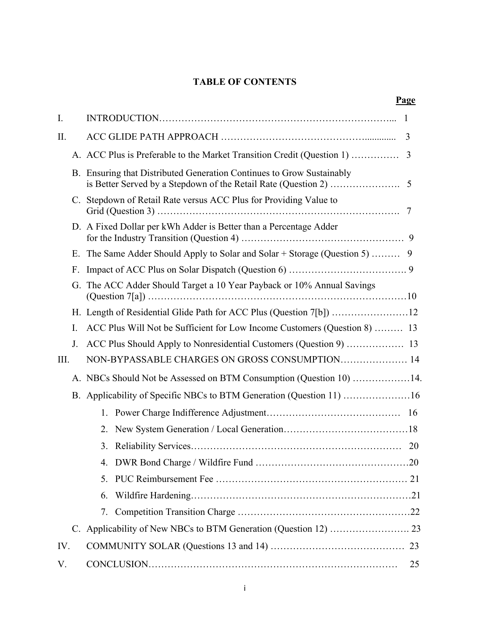# **TABLE OF CONTENTS**

|      |                                                                      |                                                                           |                                                                        | <b>Page</b> |  |  |
|------|----------------------------------------------------------------------|---------------------------------------------------------------------------|------------------------------------------------------------------------|-------------|--|--|
| I.   |                                                                      |                                                                           |                                                                        |             |  |  |
| II.  |                                                                      |                                                                           |                                                                        | 3           |  |  |
|      |                                                                      |                                                                           | A. ACC Plus is Preferable to the Market Transition Credit (Question 1) | 3           |  |  |
|      |                                                                      |                                                                           | B. Ensuring that Distributed Generation Continues to Grow Sustainably  |             |  |  |
|      | C.                                                                   | Stepdown of Retail Rate versus ACC Plus for Providing Value to            |                                                                        |             |  |  |
|      | D. A Fixed Dollar per kWh Adder is Better than a Percentage Adder    |                                                                           |                                                                        |             |  |  |
|      | Е.                                                                   |                                                                           |                                                                        |             |  |  |
|      | F.                                                                   |                                                                           |                                                                        |             |  |  |
|      | G.                                                                   | The ACC Adder Should Target a 10 Year Payback or 10% Annual Savings       |                                                                        |             |  |  |
|      |                                                                      |                                                                           |                                                                        |             |  |  |
| I.   |                                                                      | ACC Plus Will Not be Sufficient for Low Income Customers (Question 8)  13 |                                                                        |             |  |  |
|      | J.                                                                   |                                                                           | ACC Plus Should Apply to Nonresidential Customers (Question 9)  13     |             |  |  |
| III. |                                                                      | NON-BYPASSABLE CHARGES ON GROSS CONSUMPTION 14                            |                                                                        |             |  |  |
|      |                                                                      |                                                                           | A. NBCs Should Not be Assessed on BTM Consumption (Question 10) 14.    |             |  |  |
|      | B. Applicability of Specific NBCs to BTM Generation (Question 11) 16 |                                                                           |                                                                        |             |  |  |
|      |                                                                      |                                                                           |                                                                        |             |  |  |
|      |                                                                      | 2.                                                                        |                                                                        |             |  |  |
|      |                                                                      | 3.                                                                        |                                                                        | 20          |  |  |
|      |                                                                      |                                                                           |                                                                        |             |  |  |
|      |                                                                      | 5.                                                                        |                                                                        |             |  |  |
|      |                                                                      | 6.                                                                        |                                                                        |             |  |  |
|      |                                                                      | 7.                                                                        |                                                                        |             |  |  |
|      |                                                                      |                                                                           |                                                                        |             |  |  |
| IV.  |                                                                      |                                                                           |                                                                        |             |  |  |
| V.   |                                                                      |                                                                           |                                                                        | 25          |  |  |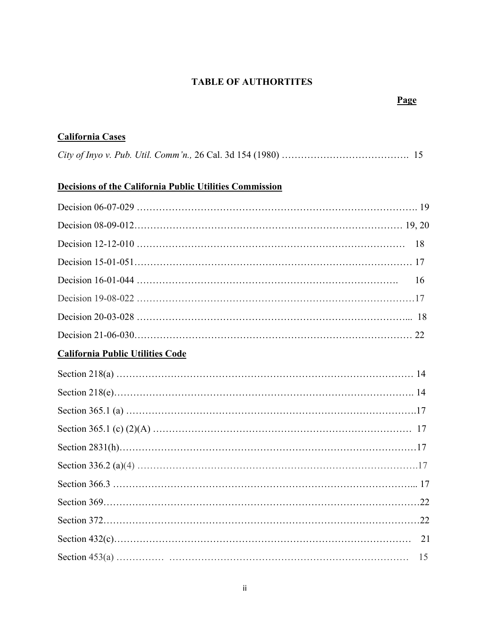# **TABLE OF AUTHORTITES**

# **California Cases**

|--|--|--|--|

# **Decisions of the California Public Utilities Commission**

| 18                                      |
|-----------------------------------------|
|                                         |
| 16                                      |
|                                         |
|                                         |
|                                         |
| <b>California Public Utilities Code</b> |
|                                         |
|                                         |
|                                         |
|                                         |
|                                         |
|                                         |
|                                         |
|                                         |
|                                         |
|                                         |
| 15                                      |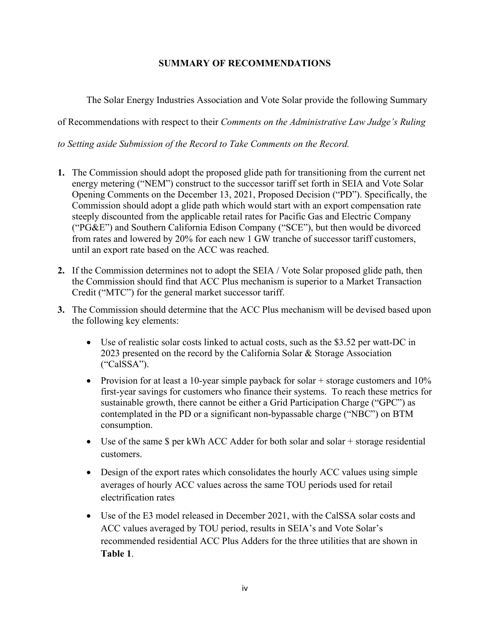# **SUMMARY OF RECOMMENDATIONS**

The Solar Energy Industries Association and Vote Solar provide the following Summary

of Recommendations with respect to their *Comments on the Administrative Law Judge's Ruling* 

*to Setting aside Submission of the Record to Take Comments on the Record.* 

- **1.** The Commission should adopt the proposed glide path for transitioning from the current net energy metering ("NEM") construct to the successor tariff set forth in SEIA and Vote Solar Opening Comments on the December 13, 2021, Proposed Decision ("PD"). Specifically, the Commission should adopt a glide path which would start with an export compensation rate steeply discounted from the applicable retail rates for Pacific Gas and Electric Company ("PG&E") and Southern California Edison Company ("SCE"), but then would be divorced from rates and lowered by 20% for each new 1 GW tranche of successor tariff customers, until an export rate based on the ACC was reached.
- **2.** If the Commission determines not to adopt the SEIA / Vote Solar proposed glide path, then the Commission should find that ACC Plus mechanism is superior to a Market Transaction Credit ("MTC") for the general market successor tariff.
- **3.** The Commission should determine that the ACC Plus mechanism will be devised based upon the following key elements:
	- Use of realistic solar costs linked to actual costs, such as the \$3.52 per watt-DC in 2023 presented on the record by the California Solar & Storage Association ("CalSSA").
	- Provision for at least a 10-year simple payback for solar  $+$  storage customers and 10% first-year savings for customers who finance their systems. To reach these metrics for sustainable growth, there cannot be either a Grid Participation Charge ("GPC") as contemplated in the PD or a significant non-bypassable charge ("NBC") on BTM consumption.
	- Use of the same \$ per kWh ACC Adder for both solar and solar + storage residential customers.
	- Design of the export rates which consolidates the hourly ACC values using simple averages of hourly ACC values across the same TOU periods used for retail electrification rates
	- Use of the E3 model released in December 2021, with the CalSSA solar costs and ACC values averaged by TOU period, results in SEIA's and Vote Solar's recommended residential ACC Plus Adders for the three utilities that are shown in **Table 1**.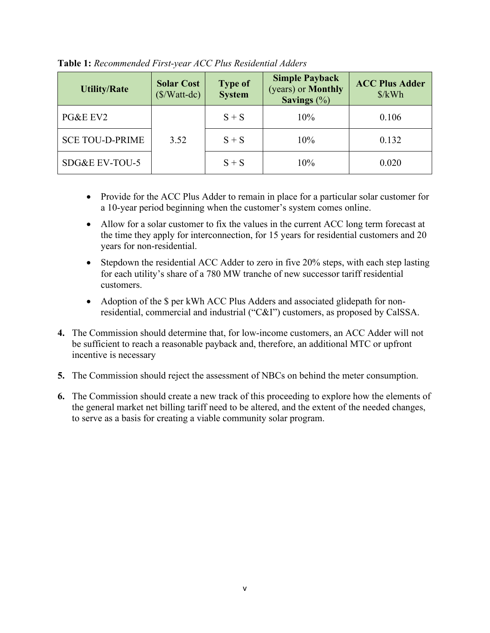| <b>Utility/Rate</b>    | <b>Solar Cost</b><br>$(\frac{S}{Watt-dc})$ | <b>Type of</b><br><b>System</b> | <b>Simple Payback</b><br>(years) or <b>Monthly</b><br>Savings $(\%)$ | <b>ACC Plus Adder</b><br>$\frac{\delta}{kWh}$ |
|------------------------|--------------------------------------------|---------------------------------|----------------------------------------------------------------------|-----------------------------------------------|
| PG&E EV2               |                                            | $S + S$                         | 10%                                                                  | 0.106                                         |
| <b>SCE TOU-D-PRIME</b> | 3.52                                       | $S + S$                         | 10%                                                                  | 0.132                                         |
| SDG&E EV-TOU-5         |                                            | $S + S$                         | 10%                                                                  | 0.020                                         |

**Table 1:** *Recommended First-year ACC Plus Residential Adders*

- Provide for the ACC Plus Adder to remain in place for a particular solar customer for a 10-year period beginning when the customer's system comes online.
- Allow for a solar customer to fix the values in the current ACC long term forecast at the time they apply for interconnection, for 15 years for residential customers and 20 years for non-residential.
- Stepdown the residential ACC Adder to zero in five 20% steps, with each step lasting for each utility's share of a 780 MW tranche of new successor tariff residential customers.
- Adoption of the \$ per kWh ACC Plus Adders and associated glidepath for nonresidential, commercial and industrial ("C&I") customers, as proposed by CalSSA.
- **4.** The Commission should determine that, for low-income customers, an ACC Adder will not be sufficient to reach a reasonable payback and, therefore, an additional MTC or upfront incentive is necessary
- **5.** The Commission should reject the assessment of NBCs on behind the meter consumption.
- **6.** The Commission should create a new track of this proceeding to explore how the elements of the general market net billing tariff need to be altered, and the extent of the needed changes, to serve as a basis for creating a viable community solar program.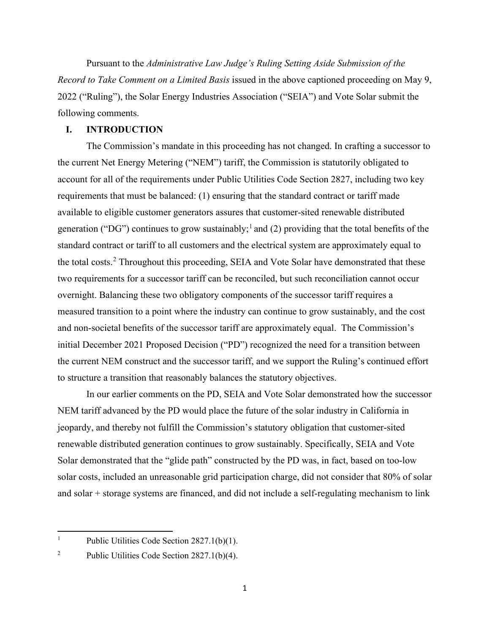Pursuant to the *Administrative Law Judge's Ruling Setting Aside Submission of the Record to Take Comment on a Limited Basis* issued in the above captioned proceeding on May 9, 2022 ("Ruling"), the Solar Energy Industries Association ("SEIA") and Vote Solar submit the following comments.

#### **I. INTRODUCTION**

The Commission's mandate in this proceeding has not changed. In crafting a successor to the current Net Energy Metering ("NEM") tariff, the Commission is statutorily obligated to account for all of the requirements under Public Utilities Code Section 2827, including two key requirements that must be balanced: (1) ensuring that the standard contract or tariff made available to eligible customer generators assures that customer-sited renewable distributed generation ("DG") continues to grow sustainably;<sup>[1](#page-6-0)</sup> and (2) providing that the total benefits of the standard contract or tariff to all customers and the electrical system are approximately equal to the total costs.<sup>[2](#page-6-1)</sup> Throughout this proceeding, SEIA and Vote Solar have demonstrated that these two requirements for a successor tariff can be reconciled, but such reconciliation cannot occur overnight. Balancing these two obligatory components of the successor tariff requires a measured transition to a point where the industry can continue to grow sustainably, and the cost and non-societal benefits of the successor tariff are approximately equal. The Commission's initial December 2021 Proposed Decision ("PD") recognized the need for a transition between the current NEM construct and the successor tariff, and we support the Ruling's continued effort to structure a transition that reasonably balances the statutory objectives.

In our earlier comments on the PD, SEIA and Vote Solar demonstrated how the successor NEM tariff advanced by the PD would place the future of the solar industry in California in jeopardy, and thereby not fulfill the Commission's statutory obligation that customer-sited renewable distributed generation continues to grow sustainably. Specifically, SEIA and Vote Solar demonstrated that the "glide path" constructed by the PD was, in fact, based on too-low solar costs, included an unreasonable grid participation charge, did not consider that 80% of solar and solar + storage systems are financed, and did not include a self-regulating mechanism to link

<span id="page-6-0"></span><sup>1</sup> Public Utilities Code Section 2827.1(b)(1).

<span id="page-6-1"></span><sup>2</sup> Public Utilities Code Section 2827.1(b)(4).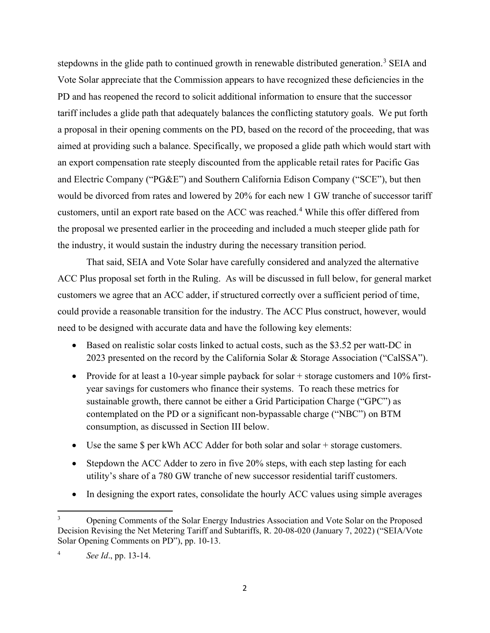stepdowns in the glide path to continued growth in renewable distributed generation.<sup>[3](#page-7-0)</sup> SEIA and Vote Solar appreciate that the Commission appears to have recognized these deficiencies in the PD and has reopened the record to solicit additional information to ensure that the successor tariff includes a glide path that adequately balances the conflicting statutory goals. We put forth a proposal in their opening comments on the PD, based on the record of the proceeding, that was aimed at providing such a balance. Specifically, we proposed a glide path which would start with an export compensation rate steeply discounted from the applicable retail rates for Pacific Gas and Electric Company ("PG&E") and Southern California Edison Company ("SCE"), but then would be divorced from rates and lowered by 20% for each new 1 GW tranche of successor tariff customers, until an export rate based on the ACC was reached. [4](#page-7-1) While this offer differed from the proposal we presented earlier in the proceeding and included a much steeper glide path for the industry, it would sustain the industry during the necessary transition period.

That said, SEIA and Vote Solar have carefully considered and analyzed the alternative ACC Plus proposal set forth in the Ruling. As will be discussed in full below, for general market customers we agree that an ACC adder, if structured correctly over a sufficient period of time, could provide a reasonable transition for the industry. The ACC Plus construct, however, would need to be designed with accurate data and have the following key elements:

- Based on realistic solar costs linked to actual costs, such as the \$3.52 per watt-DC in 2023 presented on the record by the California Solar & Storage Association ("CalSSA").
- Provide for at least a 10-year simple payback for solar + storage customers and 10% firstyear savings for customers who finance their systems. To reach these metrics for sustainable growth, there cannot be either a Grid Participation Charge ("GPC") as contemplated on the PD or a significant non-bypassable charge ("NBC") on BTM consumption, as discussed in Section III below.
- Use the same \$ per kWh ACC Adder for both solar and solar + storage customers.
- Stepdown the ACC Adder to zero in five 20% steps, with each step lasting for each utility's share of a 780 GW tranche of new successor residential tariff customers.
- In designing the export rates, consolidate the hourly ACC values using simple averages

<span id="page-7-0"></span><sup>3</sup> Opening Comments of the Solar Energy Industries Association and Vote Solar on the Proposed Decision Revising the Net Metering Tariff and Subtariffs, R. 20-08-020 (January 7, 2022) ("SEIA/Vote Solar Opening Comments on PD"), pp. 10-13.

<span id="page-7-1"></span><sup>4</sup> *See Id*., pp. 13-14.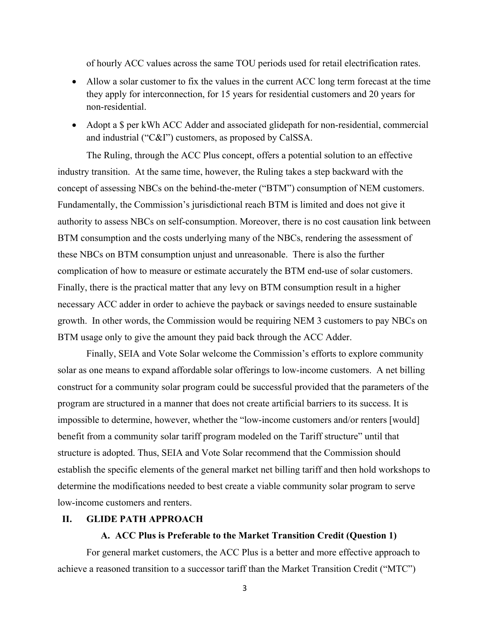of hourly ACC values across the same TOU periods used for retail electrification rates.

- Allow a solar customer to fix the values in the current ACC long term forecast at the time they apply for interconnection, for 15 years for residential customers and 20 years for non-residential.
- Adopt a  $\oint$  per kWh ACC Adder and associated glidepath for non-residential, commercial and industrial ("C&I") customers, as proposed by CalSSA.

The Ruling, through the ACC Plus concept, offers a potential solution to an effective industry transition. At the same time, however, the Ruling takes a step backward with the concept of assessing NBCs on the behind-the-meter ("BTM") consumption of NEM customers. Fundamentally, the Commission's jurisdictional reach BTM is limited and does not give it authority to assess NBCs on self-consumption. Moreover, there is no cost causation link between BTM consumption and the costs underlying many of the NBCs, rendering the assessment of these NBCs on BTM consumption unjust and unreasonable. There is also the further complication of how to measure or estimate accurately the BTM end-use of solar customers. Finally, there is the practical matter that any levy on BTM consumption result in a higher necessary ACC adder in order to achieve the payback or savings needed to ensure sustainable growth. In other words, the Commission would be requiring NEM 3 customers to pay NBCs on BTM usage only to give the amount they paid back through the ACC Adder.

Finally, SEIA and Vote Solar welcome the Commission's efforts to explore community solar as one means to expand affordable solar offerings to low-income customers. A net billing construct for a community solar program could be successful provided that the parameters of the program are structured in a manner that does not create artificial barriers to its success. It is impossible to determine, however, whether the "low-income customers and/or renters [would] benefit from a community solar tariff program modeled on the Tariff structure" until that structure is adopted. Thus, SEIA and Vote Solar recommend that the Commission should establish the specific elements of the general market net billing tariff and then hold workshops to determine the modifications needed to best create a viable community solar program to serve low-income customers and renters.

#### **II. GLIDE PATH APPROACH**

#### **A. ACC Plus is Preferable to the Market Transition Credit (Question 1)**

For general market customers, the ACC Plus is a better and more effective approach to achieve a reasoned transition to a successor tariff than the Market Transition Credit ("MTC")

3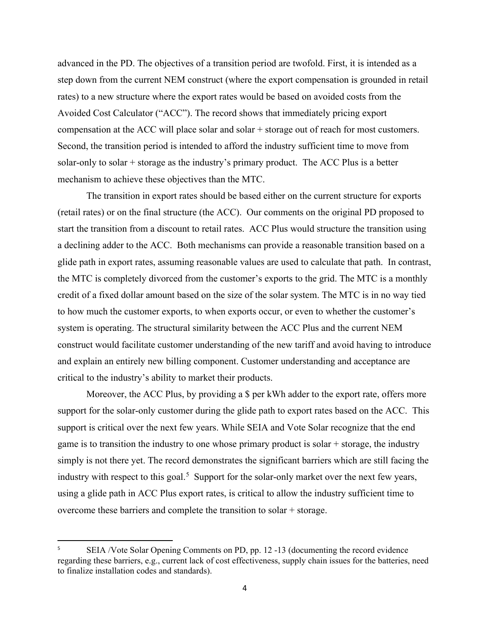advanced in the PD. The objectives of a transition period are twofold. First, it is intended as a step down from the current NEM construct (where the export compensation is grounded in retail rates) to a new structure where the export rates would be based on avoided costs from the Avoided Cost Calculator ("ACC"). The record shows that immediately pricing export compensation at the ACC will place solar and solar + storage out of reach for most customers. Second, the transition period is intended to afford the industry sufficient time to move from solar-only to solar + storage as the industry's primary product. The ACC Plus is a better mechanism to achieve these objectives than the MTC.

The transition in export rates should be based either on the current structure for exports (retail rates) or on the final structure (the ACC). Our comments on the original PD proposed to start the transition from a discount to retail rates. ACC Plus would structure the transition using a declining adder to the ACC. Both mechanisms can provide a reasonable transition based on a glide path in export rates, assuming reasonable values are used to calculate that path. In contrast, the MTC is completely divorced from the customer's exports to the grid. The MTC is a monthly credit of a fixed dollar amount based on the size of the solar system. The MTC is in no way tied to how much the customer exports, to when exports occur, or even to whether the customer's system is operating. The structural similarity between the ACC Plus and the current NEM construct would facilitate customer understanding of the new tariff and avoid having to introduce and explain an entirely new billing component. Customer understanding and acceptance are critical to the industry's ability to market their products.

Moreover, the ACC Plus, by providing a \$ per kWh adder to the export rate, offers more support for the solar-only customer during the glide path to export rates based on the ACC. This support is critical over the next few years. While SEIA and Vote Solar recognize that the end game is to transition the industry to one whose primary product is solar + storage, the industry simply is not there yet. The record demonstrates the significant barriers which are still facing the industry with respect to this goal.<sup>[5](#page-9-0)</sup> Support for the solar-only market over the next few years, using a glide path in ACC Plus export rates, is critical to allow the industry sufficient time to overcome these barriers and complete the transition to solar + storage.

<span id="page-9-0"></span><sup>5</sup> SEIA /Vote Solar Opening Comments on PD, pp. 12 -13 (documenting the record evidence regarding these barriers, e.g., current lack of cost effectiveness, supply chain issues for the batteries, need to finalize installation codes and standards).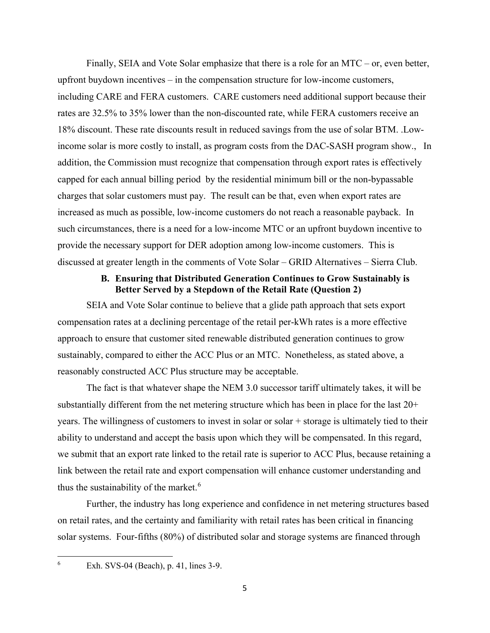Finally, SEIA and Vote Solar emphasize that there is a role for an MTC – or, even better, upfront buydown incentives – in the compensation structure for low-income customers, including CARE and FERA customers. CARE customers need additional support because their rates are 32.5% to 35% lower than the non-discounted rate, while FERA customers receive an 18% discount. These rate discounts result in reduced savings from the use of solar BTM. .Lowincome solar is more costly to install, as program costs from the DAC-SASH program show., In addition, the Commission must recognize that compensation through export rates is effectively capped for each annual billing period by the residential minimum bill or the non-bypassable charges that solar customers must pay. The result can be that, even when export rates are increased as much as possible, low-income customers do not reach a reasonable payback. In such circumstances, there is a need for a low-income MTC or an upfront buydown incentive to provide the necessary support for DER adoption among low-income customers. This is discussed at greater length in the comments of Vote Solar – GRID Alternatives – Sierra Club.

## **B. Ensuring that Distributed Generation Continues to Grow Sustainably is Better Served by a Stepdown of the Retail Rate (Question 2)**

SEIA and Vote Solar continue to believe that a glide path approach that sets export compensation rates at a declining percentage of the retail per-kWh rates is a more effective approach to ensure that customer sited renewable distributed generation continues to grow sustainably, compared to either the ACC Plus or an MTC. Nonetheless, as stated above, a reasonably constructed ACC Plus structure may be acceptable.

The fact is that whatever shape the NEM 3.0 successor tariff ultimately takes, it will be substantially different from the net metering structure which has been in place for the last 20+ years. The willingness of customers to invest in solar or solar + storage is ultimately tied to their ability to understand and accept the basis upon which they will be compensated. In this regard, we submit that an export rate linked to the retail rate is superior to ACC Plus, because retaining a link between the retail rate and export compensation will enhance customer understanding and thus the sustainability of the market.<sup>[6](#page-10-0)</sup>

Further, the industry has long experience and confidence in net metering structures based on retail rates, and the certainty and familiarity with retail rates has been critical in financing solar systems. Four-fifths (80%) of distributed solar and storage systems are financed through

<span id="page-10-0"></span>6

Exh. SVS-04 (Beach), p. 41, lines 3-9.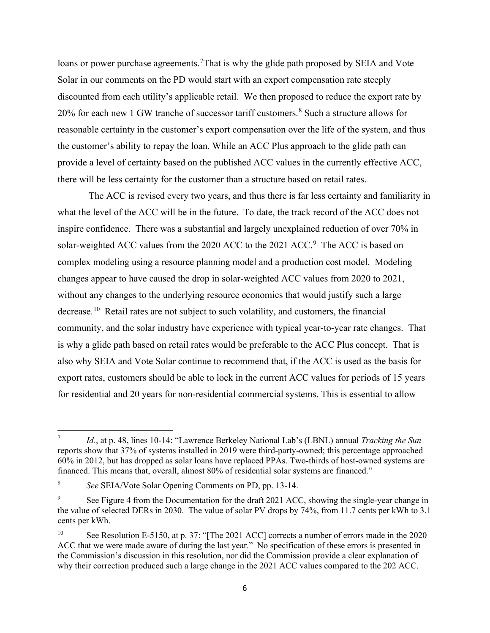loans or power purchase agreements.<sup>[7](#page-11-0)</sup>That is why the glide path proposed by SEIA and Vote Solar in our comments on the PD would start with an export compensation rate steeply discounted from each utility's applicable retail. We then proposed to reduce the export rate by 20% for each new 1 GW tranche of successor tariff customers.<sup>[8](#page-11-1)</sup> Such a structure allows for reasonable certainty in the customer's export compensation over the life of the system, and thus the customer's ability to repay the loan. While an ACC Plus approach to the glide path can provide a level of certainty based on the published ACC values in the currently effective ACC, there will be less certainty for the customer than a structure based on retail rates.

 The ACC is revised every two years, and thus there is far less certainty and familiarity in what the level of the ACC will be in the future. To date, the track record of the ACC does not inspire confidence. There was a substantial and largely unexplained reduction of over 70% in solar-weighted ACC values from the 2020 ACC to the 2021 ACC.<sup>[9](#page-11-2)</sup> The ACC is based on complex modeling using a resource planning model and a production cost model. Modeling changes appear to have caused the drop in solar-weighted ACC values from 2020 to 2021, without any changes to the underlying resource economics that would justify such a large decrease.<sup>10</sup> Retail rates are not subject to such volatility, and customers, the financial community, and the solar industry have experience with typical year-to-year rate changes. That is why a glide path based on retail rates would be preferable to the ACC Plus concept. That is also why SEIA and Vote Solar continue to recommend that, if the ACC is used as the basis for export rates, customers should be able to lock in the current ACC values for periods of 15 years for residential and 20 years for non-residential commercial systems. This is essential to allow

<span id="page-11-0"></span><sup>7</sup> *Id*., at p. 48, lines 10-14: "Lawrence Berkeley National Lab's (LBNL) annual *Tracking the Sun* reports show that 37% of systems installed in 2019 were third-party-owned; this percentage approached 60% in 2012, but has dropped as solar loans have replaced PPAs. Two-thirds of host-owned systems are financed. This means that, overall, almost 80% of residential solar systems are financed."

<span id="page-11-1"></span><sup>8</sup> *See* SEIA/Vote Solar Opening Comments on PD, pp. 13-14.

<span id="page-11-2"></span><sup>9</sup> See Figure 4 from the Documentation for the draft 2021 ACC, showing the single-year change in the value of selected DERs in 2030. The value of solar PV drops by 74%, from 11.7 cents per kWh to 3.1 cents per kWh.

<span id="page-11-3"></span><sup>&</sup>lt;sup>10</sup> See Resolution E-5150, at p. 37: "[The 2021 ACC] corrects a number of errors made in the 2020 ACC that we were made aware of during the last year." No specification of these errors is presented in the Commission's discussion in this resolution, nor did the Commission provide a clear explanation of why their correction produced such a large change in the 2021 ACC values compared to the 202 ACC.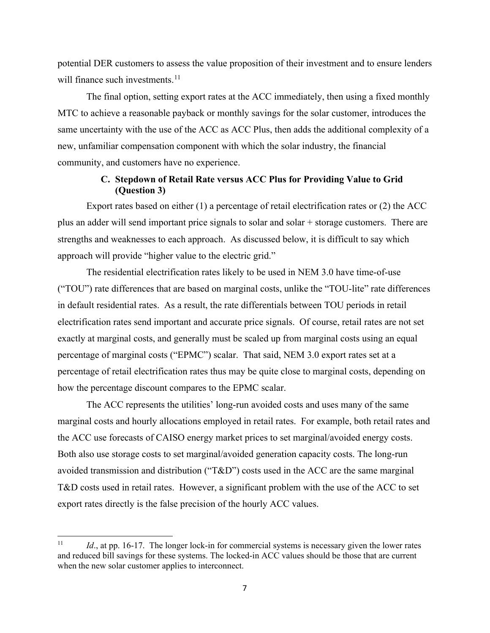potential DER customers to assess the value proposition of their investment and to ensure lenders will finance such investments.<sup>11</sup>

The final option, setting export rates at the ACC immediately, then using a fixed monthly MTC to achieve a reasonable payback or monthly savings for the solar customer, introduces the same uncertainty with the use of the ACC as ACC Plus, then adds the additional complexity of a new, unfamiliar compensation component with which the solar industry, the financial community, and customers have no experience.

## **C. Stepdown of Retail Rate versus ACC Plus for Providing Value to Grid (Question 3)**

Export rates based on either (1) a percentage of retail electrification rates or (2) the ACC plus an adder will send important price signals to solar and solar + storage customers. There are strengths and weaknesses to each approach. As discussed below, it is difficult to say which approach will provide "higher value to the electric grid."

The residential electrification rates likely to be used in NEM 3.0 have time-of-use ("TOU") rate differences that are based on marginal costs, unlike the "TOU-lite" rate differences in default residential rates. As a result, the rate differentials between TOU periods in retail electrification rates send important and accurate price signals. Of course, retail rates are not set exactly at marginal costs, and generally must be scaled up from marginal costs using an equal percentage of marginal costs ("EPMC") scalar. That said, NEM 3.0 export rates set at a percentage of retail electrification rates thus may be quite close to marginal costs, depending on how the percentage discount compares to the EPMC scalar.

The ACC represents the utilities' long-run avoided costs and uses many of the same marginal costs and hourly allocations employed in retail rates. For example, both retail rates and the ACC use forecasts of CAISO energy market prices to set marginal/avoided energy costs. Both also use storage costs to set marginal/avoided generation capacity costs. The long-run avoided transmission and distribution ("T&D") costs used in the ACC are the same marginal T&D costs used in retail rates. However, a significant problem with the use of the ACC to set export rates directly is the false precision of the hourly ACC values.

<span id="page-12-0"></span><sup>&</sup>lt;sup>11</sup> *Id.*, at pp. 16-17. The longer lock-in for commercial systems is necessary given the lower rates and reduced bill savings for these systems. The locked-in ACC values should be those that are current when the new solar customer applies to interconnect.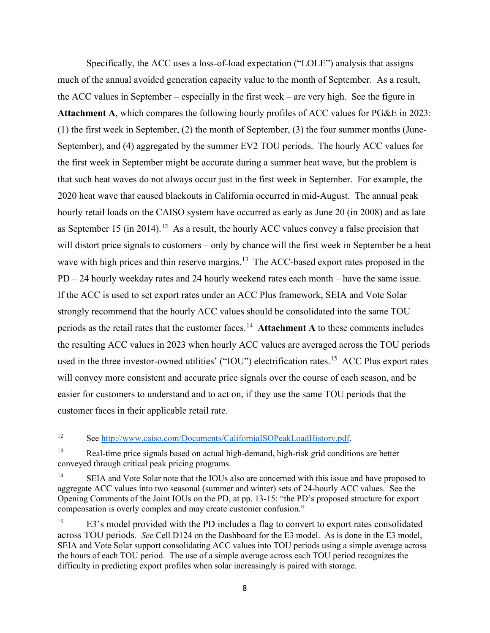Specifically, the ACC uses a loss-of-load expectation ("LOLE") analysis that assigns much of the annual avoided generation capacity value to the month of September. As a result, the ACC values in September – especially in the first week – are very high. See the figure in **Attachment A**, which compares the following hourly profiles of ACC values for PG&E in 2023: (1) the first week in September, (2) the month of September, (3) the four summer months (June-September), and (4) aggregated by the summer EV2 TOU periods. The hourly ACC values for the first week in September might be accurate during a summer heat wave, but the problem is that such heat waves do not always occur just in the first week in September. For example, the 2020 heat wave that caused blackouts in California occurred in mid-August. The annual peak hourly retail loads on the CAISO system have occurred as early as June 20 (in 2008) and as late as September 15 (in 2014).<sup>[12](#page-13-0)</sup> As a result, the hourly ACC values convey a false precision that will distort price signals to customers – only by chance will the first week in September be a heat wave with high prices and thin reserve margins.<sup>13</sup> The ACC-based export rates proposed in the PD – 24 hourly weekday rates and 24 hourly weekend rates each month – have the same issue. If the ACC is used to set export rates under an ACC Plus framework, SEIA and Vote Solar strongly recommend that the hourly ACC values should be consolidated into the same TOU periods as the retail rates that the customer faces.[14](#page-13-2) **Attachment A** to these comments includes the resulting ACC values in 2023 when hourly ACC values are averaged across the TOU periods used in the three investor-owned utilities' ("IOU") electrification rates.<sup>[15](#page-13-3)</sup> ACC Plus export rates will convey more consistent and accurate price signals over the course of each season, and be easier for customers to understand and to act on, if they use the same TOU periods that the customer faces in their applicable retail rate.

<span id="page-13-0"></span><sup>12</sup> See [http://www.caiso.com/Documents/CaliforniaISOPeakLoadHistory.pdf.](http://www.caiso.com/Documents/CaliforniaISOPeakLoadHistory.pdf)

<span id="page-13-1"></span><sup>&</sup>lt;sup>13</sup> Real-time price signals based on actual high-demand, high-risk grid conditions are better conveyed through critical peak pricing programs.

<span id="page-13-2"></span><sup>&</sup>lt;sup>14</sup> SEIA and Vote Solar note that the IOUs also are concerned with this issue and have proposed to aggregate ACC values into two seasonal (summer and winter) sets of 24-hourly ACC values. See the Opening Comments of the Joint IOUs on the PD, at pp. 13-15: "the PD's proposed structure for export compensation is overly complex and may create customer confusion."

<span id="page-13-3"></span><sup>&</sup>lt;sup>15</sup> E3's model provided with the PD includes a flag to convert to export rates consolidated across TOU periods*. See* Cell D124 on the Dashboard for the E3 model. As is done in the E3 model, SEIA and Vote Solar support consolidating ACC values into TOU periods using a simple average across the hours of each TOU period. The use of a simple average across each TOU period recognizes the difficulty in predicting export profiles when solar increasingly is paired with storage.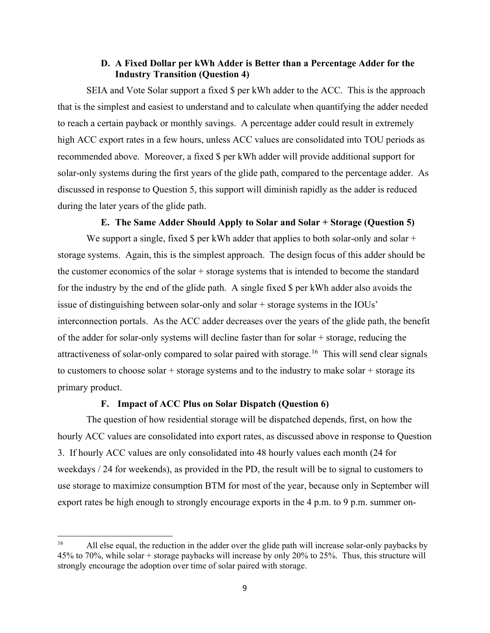## **D. A Fixed Dollar per kWh Adder is Better than a Percentage Adder for the Industry Transition (Question 4)**

SEIA and Vote Solar support a fixed \$ per kWh adder to the ACC. This is the approach that is the simplest and easiest to understand and to calculate when quantifying the adder needed to reach a certain payback or monthly savings. A percentage adder could result in extremely high ACC export rates in a few hours, unless ACC values are consolidated into TOU periods as recommended above. Moreover, a fixed \$ per kWh adder will provide additional support for solar-only systems during the first years of the glide path, compared to the percentage adder. As discussed in response to Question 5, this support will diminish rapidly as the adder is reduced during the later years of the glide path.

#### **E. The Same Adder Should Apply to Solar and Solar + Storage (Question 5)**

We support a single, fixed  $\frac{1}{2}$  per kWh adder that applies to both solar-only and solar + storage systems. Again, this is the simplest approach. The design focus of this adder should be the customer economics of the solar + storage systems that is intended to become the standard for the industry by the end of the glide path. A single fixed \$ per kWh adder also avoids the issue of distinguishing between solar-only and solar + storage systems in the IOUs' interconnection portals. As the ACC adder decreases over the years of the glide path, the benefit of the adder for solar-only systems will decline faster than for solar + storage, reducing the attractiveness of solar-only compared to solar paired with storage.<sup>[16](#page-14-0)</sup> This will send clear signals to customers to choose solar  $+$  storage systems and to the industry to make solar  $+$  storage its primary product.

#### **F. Impact of ACC Plus on Solar Dispatch (Question 6)**

The question of how residential storage will be dispatched depends, first, on how the hourly ACC values are consolidated into export rates, as discussed above in response to Question 3. If hourly ACC values are only consolidated into 48 hourly values each month (24 for weekdays / 24 for weekends), as provided in the PD, the result will be to signal to customers to use storage to maximize consumption BTM for most of the year, because only in September will export rates be high enough to strongly encourage exports in the 4 p.m. to 9 p.m. summer on-

<span id="page-14-0"></span><sup>&</sup>lt;sup>16</sup> All else equal, the reduction in the adder over the glide path will increase solar-only paybacks by 45% to 70%, while solar + storage paybacks will increase by only 20% to 25%. Thus, this structure will strongly encourage the adoption over time of solar paired with storage.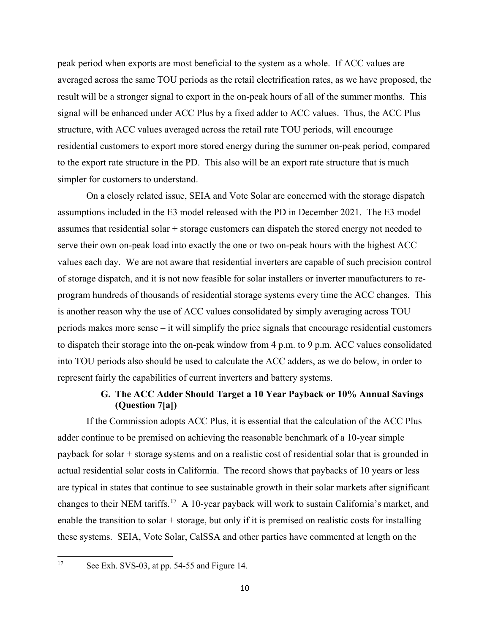peak period when exports are most beneficial to the system as a whole. If ACC values are averaged across the same TOU periods as the retail electrification rates, as we have proposed, the result will be a stronger signal to export in the on-peak hours of all of the summer months. This signal will be enhanced under ACC Plus by a fixed adder to ACC values. Thus, the ACC Plus structure, with ACC values averaged across the retail rate TOU periods, will encourage residential customers to export more stored energy during the summer on-peak period, compared to the export rate structure in the PD. This also will be an export rate structure that is much simpler for customers to understand.

On a closely related issue, SEIA and Vote Solar are concerned with the storage dispatch assumptions included in the E3 model released with the PD in December 2021. The E3 model assumes that residential solar + storage customers can dispatch the stored energy not needed to serve their own on-peak load into exactly the one or two on-peak hours with the highest ACC values each day. We are not aware that residential inverters are capable of such precision control of storage dispatch, and it is not now feasible for solar installers or inverter manufacturers to reprogram hundreds of thousands of residential storage systems every time the ACC changes. This is another reason why the use of ACC values consolidated by simply averaging across TOU periods makes more sense – it will simplify the price signals that encourage residential customers to dispatch their storage into the on-peak window from 4 p.m. to 9 p.m. ACC values consolidated into TOU periods also should be used to calculate the ACC adders, as we do below, in order to represent fairly the capabilities of current inverters and battery systems.

# **G. The ACC Adder Should Target a 10 Year Payback or 10% Annual Savings (Question 7[a])**

If the Commission adopts ACC Plus, it is essential that the calculation of the ACC Plus adder continue to be premised on achieving the reasonable benchmark of a 10-year simple payback for solar + storage systems and on a realistic cost of residential solar that is grounded in actual residential solar costs in California. The record shows that paybacks of 10 years or less are typical in states that continue to see sustainable growth in their solar markets after significant changes to their NEM tariffs.[17](#page-15-0) A 10-year payback will work to sustain California's market, and enable the transition to solar  $+$  storage, but only if it is premised on realistic costs for installing these systems. SEIA, Vote Solar, CalSSA and other parties have commented at length on the

<span id="page-15-0"></span><sup>&</sup>lt;sup>17</sup> See Exh. SVS-03, at pp. 54-55 and Figure 14.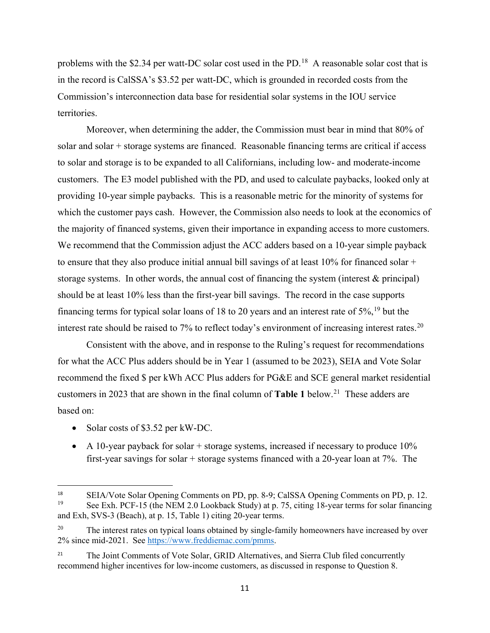problems with the \$2.34 per watt-DC solar cost used in the PD.<sup>18</sup> A reasonable solar cost that is in the record is CalSSA's \$3.52 per watt-DC, which is grounded in recorded costs from the Commission's interconnection data base for residential solar systems in the IOU service territories.

Moreover, when determining the adder, the Commission must bear in mind that 80% of solar and solar + storage systems are financed. Reasonable financing terms are critical if access to solar and storage is to be expanded to all Californians, including low- and moderate-income customers. The E3 model published with the PD, and used to calculate paybacks, looked only at providing 10-year simple paybacks. This is a reasonable metric for the minority of systems for which the customer pays cash. However, the Commission also needs to look at the economics of the majority of financed systems, given their importance in expanding access to more customers. We recommend that the Commission adjust the ACC adders based on a 10-year simple payback to ensure that they also produce initial annual bill savings of at least 10% for financed solar + storage systems. In other words, the annual cost of financing the system (interest & principal) should be at least 10% less than the first-year bill savings. The record in the case supports financing terms for typical solar loans of 18 to 20 years and an interest rate of  $5\%,^{19}$  $5\%,^{19}$  $5\%,^{19}$  but the interest rate should be raised to 7% to reflect today's environment of increasing interest rates.<sup>[20](#page-16-2)</sup>

Consistent with the above, and in response to the Ruling's request for recommendations for what the ACC Plus adders should be in Year 1 (assumed to be 2023), SEIA and Vote Solar recommend the fixed \$ per kWh ACC Plus adders for PG&E and SCE general market residential customers in 2023 that are shown in the final column of **Table 1** below.<sup>[21](#page-16-3)</sup> These adders are based on:

- Solar costs of \$3.52 per kW-DC.
- A 10-year payback for solar  $+$  storage systems, increased if necessary to produce 10% first-year savings for solar + storage systems financed with a 20-year loan at 7%. The

<span id="page-16-1"></span><span id="page-16-0"></span><sup>&</sup>lt;sup>18</sup> SEIA/Vote Solar Opening Comments on PD, pp. 8-9; CalSSA Opening Comments on PD, p. 12. See Exh. PCF-15 (the NEM 2.0 Lookback Study) at p. 75, citing 18-year terms for solar financing and Exh, SVS-3 (Beach), at p. 15, Table 1) citing 20-year terms.

<span id="page-16-2"></span><sup>&</sup>lt;sup>20</sup> The interest rates on typical loans obtained by single-family homeowners have increased by over 2% since mid-2021. See [https://www.freddiemac.com/pmms.](https://www.freddiemac.com/pmms)

<span id="page-16-3"></span><sup>&</sup>lt;sup>21</sup> The Joint Comments of Vote Solar, GRID Alternatives, and Sierra Club filed concurrently recommend higher incentives for low-income customers, as discussed in response to Question 8.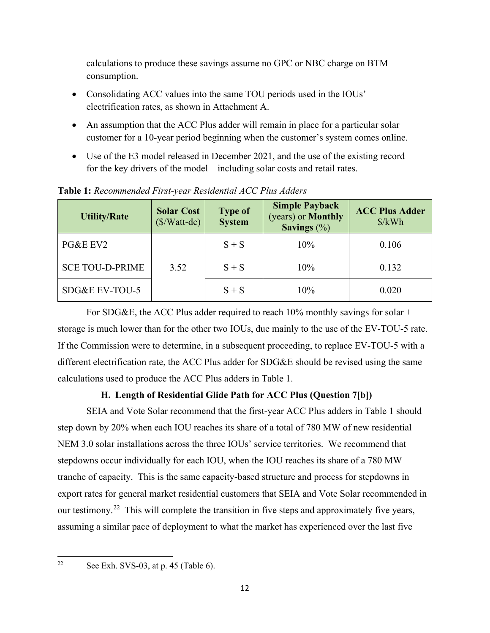calculations to produce these savings assume no GPC or NBC charge on BTM consumption.

- Consolidating ACC values into the same TOU periods used in the IOUs' electrification rates, as shown in Attachment A.
- An assumption that the ACC Plus adder will remain in place for a particular solar customer for a 10-year period beginning when the customer's system comes online.
- Use of the E3 model released in December 2021, and the use of the existing record for the key drivers of the model – including solar costs and retail rates.

| <b>Utility/Rate</b>    | <b>Solar Cost</b><br>$(\frac{\sqrt{3}}{W}$ att-dc) | <b>Type of</b><br><b>System</b> | <b>Simple Payback</b><br>(years) or <b>Monthly</b><br>Savings $(\%)$ | <b>ACC Plus Adder</b><br>$\frac{\sqrt{2}}{2}$ |
|------------------------|----------------------------------------------------|---------------------------------|----------------------------------------------------------------------|-----------------------------------------------|
| PG&E EV2               |                                                    | $S + S$                         | 10%                                                                  | 0.106                                         |
| <b>SCE TOU-D-PRIME</b> | 3.52                                               | $S + S$                         | 10%                                                                  | 0.132                                         |
| SDG&E EV-TOU-5         |                                                    | $S + S$                         | 10%                                                                  | 0.020                                         |

**Table 1:** *Recommended First-year Residential ACC Plus Adders*

For SDG&E, the ACC Plus adder required to reach  $10\%$  monthly savings for solar + storage is much lower than for the other two IOUs, due mainly to the use of the EV-TOU-5 rate. If the Commission were to determine, in a subsequent proceeding, to replace EV-TOU-5 with a different electrification rate, the ACC Plus adder for SDG&E should be revised using the same calculations used to produce the ACC Plus adders in Table 1.

# **H. Length of Residential Glide Path for ACC Plus (Question 7[b])**

SEIA and Vote Solar recommend that the first-year ACC Plus adders in Table 1 should step down by 20% when each IOU reaches its share of a total of 780 MW of new residential NEM 3.0 solar installations across the three IOUs' service territories. We recommend that stepdowns occur individually for each IOU, when the IOU reaches its share of a 780 MW tranche of capacity. This is the same capacity-based structure and process for stepdowns in export rates for general market residential customers that SEIA and Vote Solar recommended in our testimony.<sup>22</sup> This will complete the transition in five steps and approximately five years, assuming a similar pace of deployment to what the market has experienced over the last five

<span id="page-17-0"></span><sup>&</sup>lt;sup>22</sup> See Exh. SVS-03, at p. 45 (Table 6).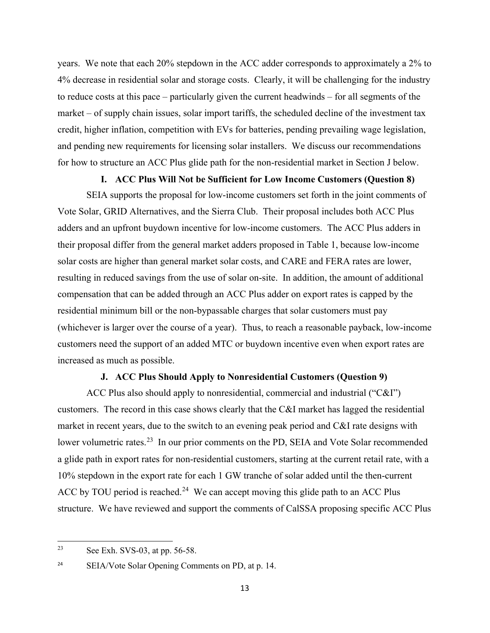years. We note that each 20% stepdown in the ACC adder corresponds to approximately a 2% to 4% decrease in residential solar and storage costs. Clearly, it will be challenging for the industry to reduce costs at this pace – particularly given the current headwinds – for all segments of the market – of supply chain issues, solar import tariffs, the scheduled decline of the investment tax credit, higher inflation, competition with EVs for batteries, pending prevailing wage legislation, and pending new requirements for licensing solar installers. We discuss our recommendations for how to structure an ACC Plus glide path for the non-residential market in Section J below.

#### **I. ACC Plus Will Not be Sufficient for Low Income Customers (Question 8)**

SEIA supports the proposal for low-income customers set forth in the joint comments of Vote Solar, GRID Alternatives, and the Sierra Club. Their proposal includes both ACC Plus adders and an upfront buydown incentive for low-income customers. The ACC Plus adders in their proposal differ from the general market adders proposed in Table 1, because low-income solar costs are higher than general market solar costs, and CARE and FERA rates are lower, resulting in reduced savings from the use of solar on-site. In addition, the amount of additional compensation that can be added through an ACC Plus adder on export rates is capped by the residential minimum bill or the non-bypassable charges that solar customers must pay (whichever is larger over the course of a year). Thus, to reach a reasonable payback, low-income customers need the support of an added MTC or buydown incentive even when export rates are increased as much as possible.

#### **J. ACC Plus Should Apply to Nonresidential Customers (Question 9)**

ACC Plus also should apply to nonresidential, commercial and industrial ("C&I") customers. The record in this case shows clearly that the C&I market has lagged the residential market in recent years, due to the switch to an evening peak period and C&I rate designs with lower volumetric rates.<sup>[23](#page-18-0)</sup> In our prior comments on the PD, SEIA and Vote Solar recommended a glide path in export rates for non-residential customers, starting at the current retail rate, with a 10% stepdown in the export rate for each 1 GW tranche of solar added until the then-current ACC by TOU period is reached.<sup>24</sup> We can accept moving this glide path to an ACC Plus structure. We have reviewed and support the comments of CalSSA proposing specific ACC Plus

<span id="page-18-0"></span><sup>&</sup>lt;sup>23</sup> See Exh. SVS-03, at pp. 56-58.

<span id="page-18-1"></span><sup>&</sup>lt;sup>24</sup> SEIA/Vote Solar Opening Comments on PD, at p. 14.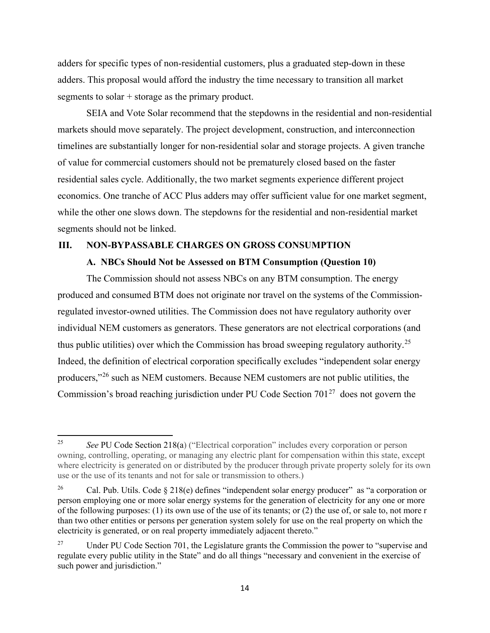adders for specific types of non-residential customers, plus a graduated step-down in these adders. This proposal would afford the industry the time necessary to transition all market segments to solar + storage as the primary product.

SEIA and Vote Solar recommend that the stepdowns in the residential and non-residential markets should move separately. The project development, construction, and interconnection timelines are substantially longer for non-residential solar and storage projects. A given tranche of value for commercial customers should not be prematurely closed based on the faster residential sales cycle. Additionally, the two market segments experience different project economics. One tranche of ACC Plus adders may offer sufficient value for one market segment, while the other one slows down. The stepdowns for the residential and non-residential market segments should not be linked.

#### **III. NON-BYPASSABLE CHARGES ON GROSS CONSUMPTION**

#### **A. NBCs Should Not be Assessed on BTM Consumption (Question 10)**

The Commission should not assess NBCs on any BTM consumption. The energy produced and consumed BTM does not originate nor travel on the systems of the Commissionregulated investor-owned utilities. The Commission does not have regulatory authority over individual NEM customers as generators. These generators are not electrical corporations (and thus public utilities) over which the Commission has broad sweeping regulatory authority.<sup>[25](#page-19-0)</sup> Indeed, the definition of electrical corporation specifically excludes "independent solar energy producers,"[26](#page-19-1) such as NEM customers. Because NEM customers are not public utilities, the Commission's broad reaching jurisdiction under PU Code Section  $701<sup>27</sup>$  $701<sup>27</sup>$  $701<sup>27</sup>$  does not govern the

<span id="page-19-0"></span><sup>25</sup> *See* PU Code Section 218(a) ("Electrical corporation" includes every corporation or person owning, controlling, operating, or managing any electric plant for compensation within this state, except where electricity is generated on or distributed by the producer through private property solely for its own use or the use of its tenants and not for sale or transmission to others.)

<span id="page-19-1"></span><sup>&</sup>lt;sup>26</sup> Cal. Pub. Utils. Code § 218(e) defines "independent solar energy producer" as "a corporation or person employing one or more solar energy systems for the generation of electricity for any one or more of the following purposes: (1) its own use of the use of its tenants; or (2) the use of, or sale to, not more r than two other entities or persons per generation system solely for use on the real property on which the electricity is generated, or on real property immediately adjacent thereto."

<span id="page-19-2"></span><sup>&</sup>lt;sup>27</sup> Under PU Code Section 701, the Legislature grants the Commission the power to "supervise and" regulate every public utility in the State" and do all things "necessary and convenient in the exercise of such power and jurisdiction."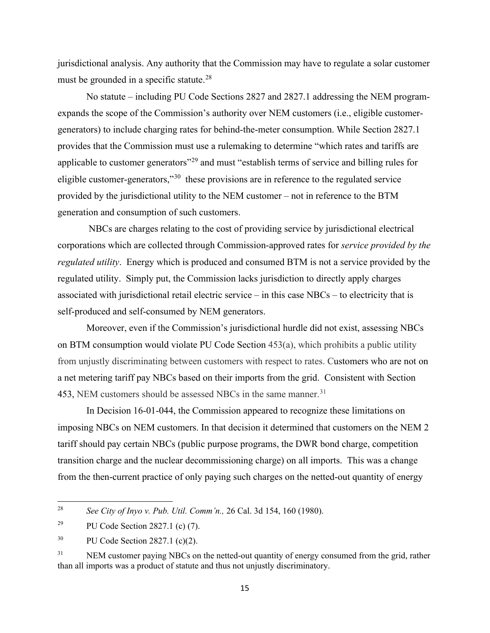jurisdictional analysis. Any authority that the Commission may have to regulate a solar customer must be grounded in a specific statute.<sup>28</sup>

No statute – including PU Code Sections 2827 and 2827.1 addressing the NEM programexpands the scope of the Commission's authority over NEM customers (i.e., eligible customergenerators) to include charging rates for behind-the-meter consumption. While Section 2827.1 provides that the Commission must use a rulemaking to determine "which rates and tariffs are applicable to customer generators"<sup>[29](#page-20-1)</sup> and must "establish terms of service and billing rules for eligible customer-generators,"<sup>30</sup> these provisions are in reference to the regulated service provided by the jurisdictional utility to the NEM customer – not in reference to the BTM generation and consumption of such customers.

NBCs are charges relating to the cost of providing service by jurisdictional electrical corporations which are collected through Commission-approved rates for *service provided by the regulated utility*. Energy which is produced and consumed BTM is not a service provided by the regulated utility. Simply put, the Commission lacks jurisdiction to directly apply charges associated with jurisdictional retail electric service – in this case NBCs – to electricity that is self-produced and self-consumed by NEM generators.

Moreover, even if the Commission's jurisdictional hurdle did not exist, assessing NBCs on BTM consumption would violate PU Code Section 453(a), which prohibits a public utility from unjustly discriminating between customers with respect to rates. Customers who are not on a net metering tariff pay NBCs based on their imports from the grid. Consistent with Section 453, NEM customers should be assessed NBCs in the same manner.<sup>31</sup>

In Decision 16-01-044, the Commission appeared to recognize these limitations on imposing NBCs on NEM customers. In that decision it determined that customers on the NEM 2 tariff should pay certain NBCs (public purpose programs, the DWR bond charge, competition transition charge and the nuclear decommissioning charge) on all imports. This was a change from the then-current practice of only paying such charges on the netted-out quantity of energy

<span id="page-20-0"></span><sup>28</sup> *See City of Inyo v. Pub. Util. Comm'n.,* 26 Cal. 3d 154, 160 (1980).

<span id="page-20-1"></span><sup>&</sup>lt;sup>29</sup> PU Code Section 2827.1 (c) (7).

<span id="page-20-2"></span><sup>&</sup>lt;sup>30</sup> PU Code Section 2827.1 (c)(2).

<span id="page-20-3"></span><sup>&</sup>lt;sup>31</sup> NEM customer paying NBCs on the netted-out quantity of energy consumed from the grid, rather than all imports was a product of statute and thus not unjustly discriminatory.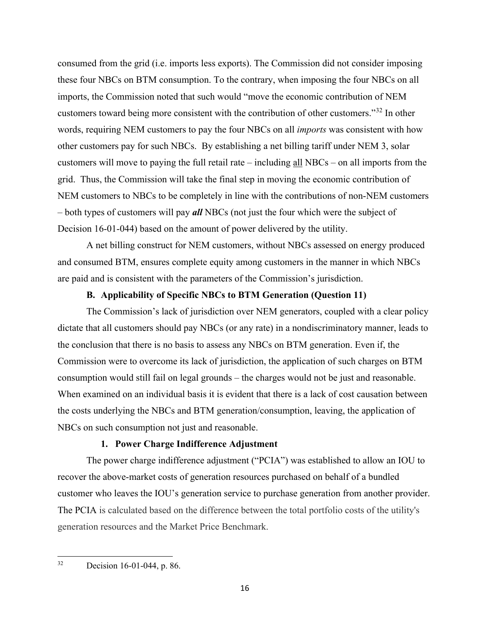consumed from the grid (i.e. imports less exports). The Commission did not consider imposing these four NBCs on BTM consumption. To the contrary, when imposing the four NBCs on all imports, the Commission noted that such would "move the economic contribution of NEM customers toward being more consistent with the contribution of other customers."[32](#page-21-0) In other words, requiring NEM customers to pay the four NBCs on all *imports* was consistent with how other customers pay for such NBCs. By establishing a net billing tariff under NEM 3, solar customers will move to paying the full retail rate – including all NBCs – on all imports from the grid. Thus, the Commission will take the final step in moving the economic contribution of NEM customers to NBCs to be completely in line with the contributions of non-NEM customers – both types of customers will pay *all* NBCs (not just the four which were the subject of Decision 16-01-044) based on the amount of power delivered by the utility.

A net billing construct for NEM customers, without NBCs assessed on energy produced and consumed BTM, ensures complete equity among customers in the manner in which NBCs are paid and is consistent with the parameters of the Commission's jurisdiction.

#### **B. Applicability of Specific NBCs to BTM Generation (Question 11)**

The Commission's lack of jurisdiction over NEM generators, coupled with a clear policy dictate that all customers should pay NBCs (or any rate) in a nondiscriminatory manner, leads to the conclusion that there is no basis to assess any NBCs on BTM generation. Even if, the Commission were to overcome its lack of jurisdiction, the application of such charges on BTM consumption would still fail on legal grounds – the charges would not be just and reasonable. When examined on an individual basis it is evident that there is a lack of cost causation between the costs underlying the NBCs and BTM generation/consumption, leaving, the application of NBCs on such consumption not just and reasonable.

## **1. Power Charge Indifference Adjustment**

The power charge indifference adjustment ("PCIA") was established to allow an IOU to recover the above-market costs of generation resources purchased on behalf of a bundled customer who leaves the IOU's generation service to purchase generation from another provider. The PCIA is calculated based on the difference between the total portfolio costs of the utility's generation resources and the Market Price Benchmark.

<span id="page-21-0"></span><sup>32</sup> Decision 16-01-044, p. 86.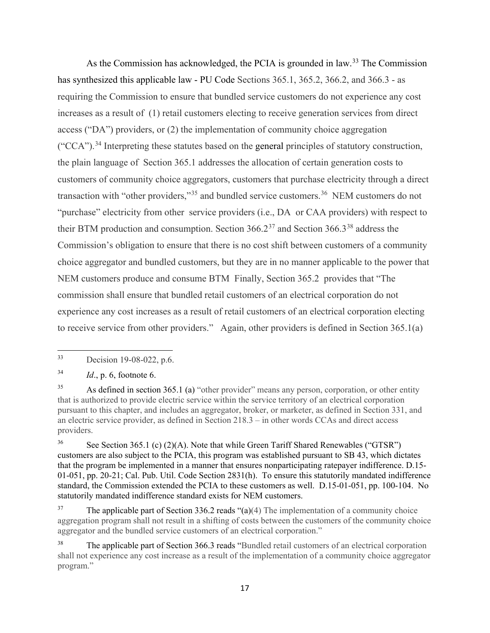As the Commission has acknowledged, the PCIA is grounded in law.<sup>33</sup> The Commission has synthesized this applicable law - PU Code Sections 365.1, 365.2, 366.2, and 366.3 - as requiring the Commission to ensure that bundled service customers do not experience any cost increases as a result of (1) retail customers electing to receive generation services from direct access ("DA") providers, or (2) the implementation of community choice aggregation  $("CCA")$ .<sup>[34](#page-22-1)</sup> Interpreting these statutes based on the general principles of statutory construction, the plain language of Section 365.1 addresses the allocation of certain generation costs to customers of community choice aggregators, customers that purchase electricity through a direct transaction with "other providers,"<sup>[35](#page-22-2)</sup> and bundled service customers.<sup>[36](#page-22-3)</sup> NEM customers do not "purchase" electricity from other service providers (i.e., DA or CAA providers) with respect to their BTM production and consumption. Section  $366.2^{37}$  and Section  $366.3^{38}$  $366.3^{38}$  $366.3^{38}$  address the Commission's obligation to ensure that there is no cost shift between customers of a community choice aggregator and bundled customers, but they are in no manner applicable to the power that NEM customers produce and consume BTM Finally, Section 365.2 provides that "The commission shall ensure that bundled retail customers of an electrical corporation do not experience any cost increases as a result of retail customers of an electrical corporation electing to receive service from other providers." Again, other providers is defined in Section 365.1(a)

<span id="page-22-1"></span>34 *Id*., p. 6, footnote 6.

<span id="page-22-2"></span><sup>35</sup> As defined in section 365.1 (a) "other provider" means any person, corporation, or other entity that is authorized to provide electric service within the service territory of an electrical corporation pursuant to this chapter, and includes an aggregator, broker, or marketer, as defined in Section 331, and an electric service provider, as defined in Section 218.3 – in other words CCAs and direct access providers.

<span id="page-22-3"></span><sup>36</sup> See Section 365.1 (c) (2)(A). Note that while Green Tariff Shared Renewables ("GTSR") customers are also subject to the PCIA, this program was established pursuant to SB 43, which dictates that the program be implemented in a manner that ensures nonparticipating ratepayer indifference. D.15- 01-051, pp. 20-21; Cal. Pub. Util. Code Section 2831(h). To ensure this statutorily mandated indifference standard, the Commission extended the PCIA to these customers as well. D.15-01-051, pp. 100-104. No statutorily mandated indifference standard exists for NEM customers.

<span id="page-22-4"></span><sup>37</sup> The applicable part of Section 336.2 reads "(a)(4) The implementation of a community choice aggregation program shall not result in a shifting of costs between the customers of the community choice aggregator and the bundled service customers of an electrical corporation."

<span id="page-22-0"></span><sup>33</sup> Decision 19-08-022, p.6.

<span id="page-22-5"></span><sup>&</sup>lt;sup>38</sup> The applicable part of Section 366.3 reads "Bundled retail customers of an electrical corporation shall not experience any cost increase as a result of the implementation of a community choice aggregator program."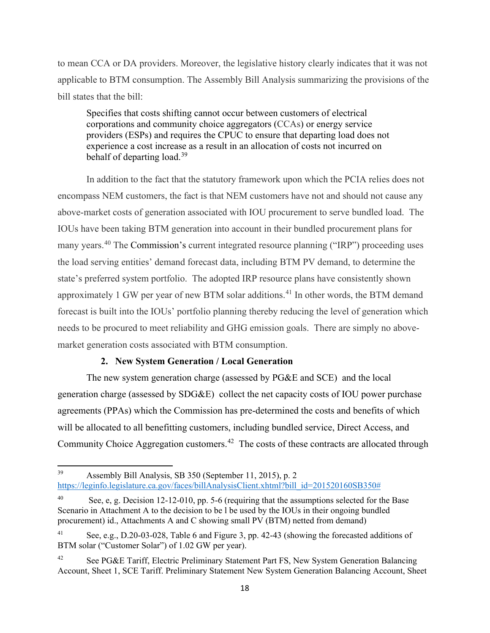to mean CCA or DA providers. Moreover, the legislative history clearly indicates that it was not applicable to BTM consumption. The Assembly Bill Analysis summarizing the provisions of the bill states that the bill:

Specifies that costs shifting cannot occur between customers of electrical corporations and community choice aggregators (CCAs) or energy service providers (ESPs) and requires the CPUC to ensure that departing load does not experience a cost increase as a result in an allocation of costs not incurred on behalf of departing load.<sup>[39](#page-23-0)</sup>

In addition to the fact that the statutory framework upon which the PCIA relies does not encompass NEM customers, the fact is that NEM customers have not and should not cause any above-market costs of generation associated with IOU procurement to serve bundled load. The IOUs have been taking BTM generation into account in their bundled procurement plans for many years.[40](#page-23-1) The Commission's current integrated resource planning ("IRP") proceeding uses the load serving entities' demand forecast data, including BTM PV demand, to determine the state's preferred system portfolio. The adopted IRP resource plans have consistently shown approximately 1 GW per year of new BTM solar additions.<sup>[41](#page-23-2)</sup> In other words, the BTM demand forecast is built into the IOUs' portfolio planning thereby reducing the level of generation which needs to be procured to meet reliability and GHG emission goals. There are simply no abovemarket generation costs associated with BTM consumption.

## **2. New System Generation / Local Generation**

The new system generation charge (assessed by PG&E and SCE) and the local generation charge (assessed by SDG&E) collect the net capacity costs of IOU power purchase agreements (PPAs) which the Commission has pre-determined the costs and benefits of which will be allocated to all benefitting customers, including bundled service, Direct Access, and Community Choice Aggregation customers.<sup>42</sup> The costs of these contracts are allocated through

<span id="page-23-0"></span><sup>39</sup> Assembly Bill Analysis, SB 350 (September 11, 2015), p. 2 [https://leginfo.legislature.ca.gov/faces/billAnalysisClient.xhtml?bill\\_id=201520160SB350#](https://leginfo.legislature.ca.gov/faces/billAnalysisClient.xhtml?bill_id=201520160SB350)

<span id="page-23-1"></span>See, e, g. Decision 12-12-010, pp. 5-6 (requiring that the assumptions selected for the Base Scenario in Attachment A to the decision to be l be used by the IOUs in their ongoing bundled procurement) id., Attachments A and C showing small PV (BTM) netted from demand)

<span id="page-23-2"></span>See, e.g., D.20-03-028, Table 6 and Figure 3, pp. 42-43 (showing the forecasted additions of BTM solar ("Customer Solar") of 1.02 GW per year).

<span id="page-23-3"></span><sup>&</sup>lt;sup>42</sup> See PG&E Tariff, Electric Preliminary Statement Part FS, New System Generation Balancing Account, Sheet 1, SCE Tariff. Preliminary Statement New System Generation Balancing Account, Sheet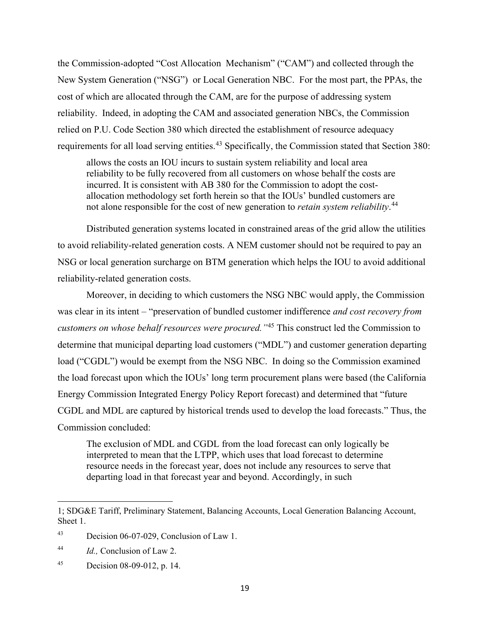the Commission-adopted "Cost Allocation Mechanism" ("CAM") and collected through the New System Generation ("NSG") or Local Generation NBC. For the most part, the PPAs, the cost of which are allocated through the CAM, are for the purpose of addressing system reliability. Indeed, in adopting the CAM and associated generation NBCs, the Commission relied on P.U. Code Section 380 which directed the establishment of resource adequacy requirements for all load serving entities.<sup>[43](#page-24-0)</sup> Specifically, the Commission stated that Section 380:

allows the costs an IOU incurs to sustain system reliability and local area reliability to be fully recovered from all customers on whose behalf the costs are incurred. It is consistent with AB 380 for the Commission to adopt the costallocation methodology set forth herein so that the IOUs' bundled customers are not alone responsible for the cost of new generation to *retain system reliability*. [44](#page-24-1)

Distributed generation systems located in constrained areas of the grid allow the utilities to avoid reliability-related generation costs. A NEM customer should not be required to pay an NSG or local generation surcharge on BTM generation which helps the IOU to avoid additional reliability-related generation costs.

Moreover, in deciding to which customers the NSG NBC would apply, the Commission was clear in its intent – "preservation of bundled customer indifference *and cost recovery from customers on whose behalf resources were procured."*[45](#page-24-2) This construct led the Commission to determine that municipal departing load customers ("MDL") and customer generation departing load ("CGDL") would be exempt from the NSG NBC. In doing so the Commission examined the load forecast upon which the IOUs' long term procurement plans were based (the California Energy Commission Integrated Energy Policy Report forecast) and determined that "future CGDL and MDL are captured by historical trends used to develop the load forecasts." Thus, the Commission concluded:

The exclusion of MDL and CGDL from the load forecast can only logically be interpreted to mean that the LTPP, which uses that load forecast to determine resource needs in the forecast year, does not include any resources to serve that departing load in that forecast year and beyond. Accordingly, in such

<sup>1;</sup> SDG&E Tariff, Preliminary Statement, Balancing Accounts, Local Generation Balancing Account, Sheet 1.

<span id="page-24-0"></span><sup>43</sup> Decision 06-07-029, Conclusion of Law 1.

<span id="page-24-1"></span><sup>44</sup> *Id.,* Conclusion of Law 2.

<span id="page-24-2"></span><sup>45</sup> Decision 08-09-012, p. 14.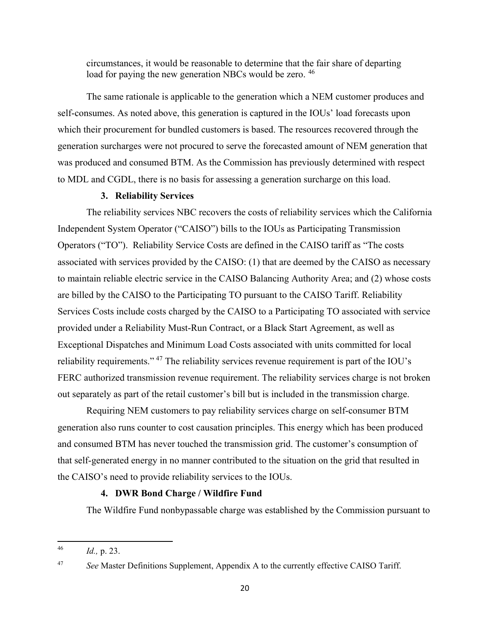circumstances, it would be reasonable to determine that the fair share of departing load for paying the new generation NBCs would be zero.<sup>[46](#page-25-0)</sup>

The same rationale is applicable to the generation which a NEM customer produces and self-consumes. As noted above, this generation is captured in the IOUs' load forecasts upon which their procurement for bundled customers is based. The resources recovered through the generation surcharges were not procured to serve the forecasted amount of NEM generation that was produced and consumed BTM. As the Commission has previously determined with respect to MDL and CGDL, there is no basis for assessing a generation surcharge on this load.

#### **3. Reliability Services**

The reliability services NBC recovers the costs of reliability services which the California Independent System Operator ("CAISO") bills to the IOUs as Participating Transmission Operators ("TO"). Reliability Service Costs are defined in the CAISO tariff as "The costs associated with services provided by the CAISO: (1) that are deemed by the CAISO as necessary to maintain reliable electric service in the CAISO Balancing Authority Area; and (2) whose costs are billed by the CAISO to the Participating TO pursuant to the CAISO Tariff. Reliability Services Costs include costs charged by the CAISO to a Participating TO associated with service provided under a Reliability Must-Run Contract, or a Black Start Agreement, as well as Exceptional Dispatches and Minimum Load Costs associated with units committed for local reliability requirements." [47](#page-25-1) The reliability services revenue requirement is part of the IOU's FERC authorized transmission revenue requirement. The reliability services charge is not broken out separately as part of the retail customer's bill but is included in the transmission charge.

Requiring NEM customers to pay reliability services charge on self-consumer BTM generation also runs counter to cost causation principles. This energy which has been produced and consumed BTM has never touched the transmission grid. The customer's consumption of that self-generated energy in no manner contributed to the situation on the grid that resulted in the CAISO's need to provide reliability services to the IOUs.

#### **4. DWR Bond Charge / Wildfire Fund**

The Wildfire Fund nonbypassable charge was established by the Commission pursuant to

<span id="page-25-0"></span><sup>46</sup> *Id.,* p. 23.

<span id="page-25-1"></span><sup>&</sup>lt;sup>47</sup> *See* Master Definitions Supplement, Appendix A to the currently effective CAISO Tariff.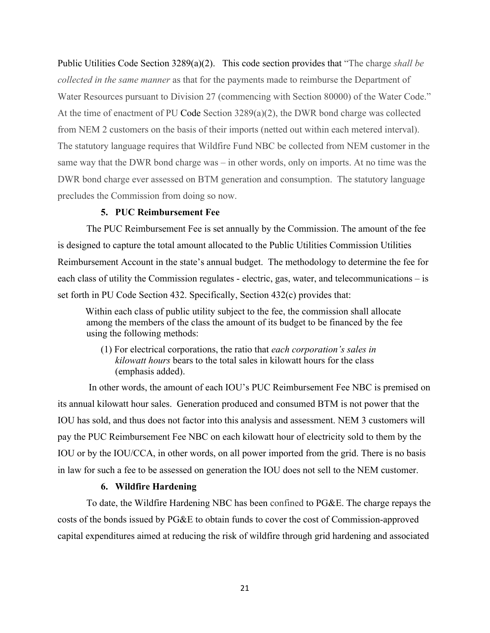Public Utilities Code Section 3289(a)(2). This code section provides that "The charge *shall be collected in the same manner* as that for the payments made to reimburse the Department of Water Resources pursuant to Division 27 (commencing with Section 80000) of the Water Code." At the time of enactment of PU Code Section 3289(a)(2), the DWR bond charge was collected from NEM 2 customers on the basis of their imports (netted out within each metered interval). The statutory language requires that Wildfire Fund NBC be collected from NEM customer in the same way that the DWR bond charge was – in other words, only on imports. At no time was the DWR bond charge ever assessed on BTM generation and consumption. The statutory language precludes the Commission from doing so now.

#### **5. PUC Reimbursement Fee**

The PUC Reimbursement Fee is set annually by the Commission. The amount of the fee is designed to capture the total amount allocated to the Public Utilities Commission Utilities Reimbursement Account in the state's annual budget. The methodology to determine the fee for each class of utility the Commission regulates - electric, gas, water, and telecommunications – is set forth in PU Code Section 432. Specifically, Section 432(c) provides that:

Within each class of public utility subject to the fee, the commission shall allocate among the members of the class the amount of its budget to be financed by the fee using the following methods:

(1) For electrical corporations, the ratio that *each corporation's sales in kilowatt hours* bears to the total sales in kilowatt hours for the class (emphasis added).

 In other words, the amount of each IOU's PUC Reimbursement Fee NBC is premised on its annual kilowatt hour sales. Generation produced and consumed BTM is not power that the IOU has sold, and thus does not factor into this analysis and assessment. NEM 3 customers will pay the PUC Reimbursement Fee NBC on each kilowatt hour of electricity sold to them by the IOU or by the IOU/CCA, in other words, on all power imported from the grid. There is no basis in law for such a fee to be assessed on generation the IOU does not sell to the NEM customer.

#### **6. Wildfire Hardening**

To date, the Wildfire Hardening NBC has been confined to PG&E. The charge repays the costs of the bonds issued by PG&E to obtain funds to cover the cost of Commission-approved capital expenditures aimed at reducing the risk of wildfire through grid hardening and associated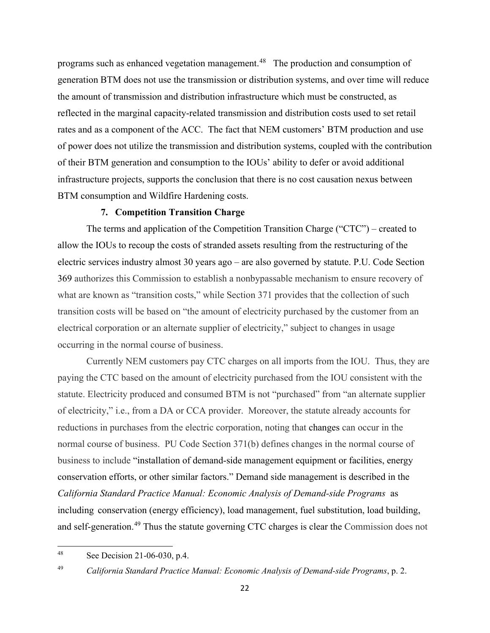programs such as enhanced vegetation management.<sup>[48](#page-27-0)</sup> The production and consumption of generation BTM does not use the transmission or distribution systems, and over time will reduce the amount of transmission and distribution infrastructure which must be constructed, as reflected in the marginal capacity-related transmission and distribution costs used to set retail rates and as a component of the ACC. The fact that NEM customers' BTM production and use of power does not utilize the transmission and distribution systems, coupled with the contribution of their BTM generation and consumption to the IOUs' ability to defer or avoid additional infrastructure projects, supports the conclusion that there is no cost causation nexus between BTM consumption and Wildfire Hardening costs.

#### **7. Competition Transition Charge**

The terms and application of the Competition Transition Charge ("CTC") – created to allow the IOUs to recoup the costs of stranded assets resulting from the restructuring of the electric services industry almost 30 years ago – are also governed by statute. P.U. Code Section 369 authorizes this Commission to establish a nonbypassable mechanism to ensure recovery of what are known as "transition costs," while Section 371 provides that the collection of such transition costs will be based on "the amount of electricity purchased by the customer from an electrical corporation or an alternate supplier of electricity," subject to changes in usage occurring in the normal course of business.

Currently NEM customers pay CTC charges on all imports from the IOU. Thus, they are paying the CTC based on the amount of electricity purchased from the IOU consistent with the statute. Electricity produced and consumed BTM is not "purchased" from "an alternate supplier of electricity," i.e., from a DA or CCA provider. Moreover, the statute already accounts for reductions in purchases from the electric corporation, noting that changes can occur in the normal course of business. PU Code Section 371(b) defines changes in the normal course of business to include "installation of demand-side management equipment or facilities, energy conservation efforts, or other similar factors." Demand side management is described in the *California Standard Practice Manual: Economic Analysis of Demand-side Programs* as including conservation (energy efficiency), load management, fuel substitution, load building, and self-generation.<sup>[49](#page-27-1)</sup> Thus the statute governing CTC charges is clear the Commission does not

<span id="page-27-0"></span><sup>48</sup> See Decision 21-06-030, p.4.

<span id="page-27-1"></span><sup>49</sup> *California Standard Practice Manual: Economic Analysis of Demand-side Programs*, p. 2.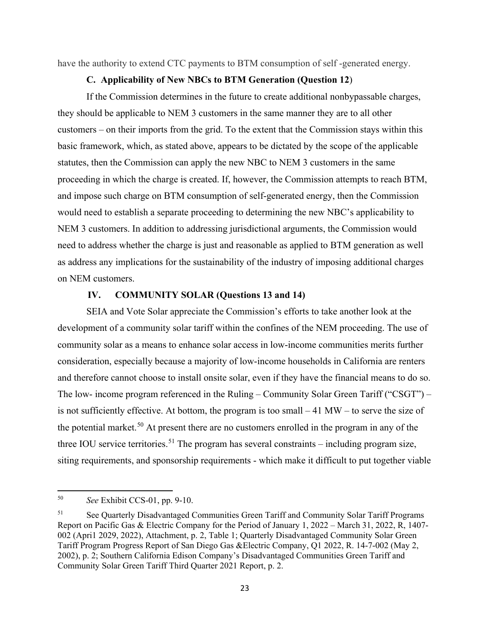have the authority to extend CTC payments to BTM consumption of self -generated energy.

## **C. Applicability of New NBCs to BTM Generation (Question 12**)

If the Commission determines in the future to create additional nonbypassable charges, they should be applicable to NEM 3 customers in the same manner they are to all other customers – on their imports from the grid. To the extent that the Commission stays within this basic framework, which, as stated above, appears to be dictated by the scope of the applicable statutes, then the Commission can apply the new NBC to NEM 3 customers in the same proceeding in which the charge is created. If, however, the Commission attempts to reach BTM, and impose such charge on BTM consumption of self-generated energy, then the Commission would need to establish a separate proceeding to determining the new NBC's applicability to NEM 3 customers. In addition to addressing jurisdictional arguments, the Commission would need to address whether the charge is just and reasonable as applied to BTM generation as well as address any implications for the sustainability of the industry of imposing additional charges on NEM customers.

## **IV. COMMUNITY SOLAR (Questions 13 and 14)**

SEIA and Vote Solar appreciate the Commission's efforts to take another look at the development of a community solar tariff within the confines of the NEM proceeding. The use of community solar as a means to enhance solar access in low-income communities merits further consideration, especially because a majority of low-income households in California are renters and therefore cannot choose to install onsite solar, even if they have the financial means to do so. The low- income program referenced in the Ruling – Community Solar Green Tariff ("CSGT") – is not sufficiently effective. At bottom, the program is too small  $-41$  MW – to serve the size of the potential market.<sup>50</sup> At present there are no customers enrolled in the program in any of the three IOU service territories.<sup>[51](#page-28-1)</sup> The program has several constraints – including program size, siting requirements, and sponsorship requirements - which make it difficult to put together viable

<span id="page-28-0"></span><sup>50</sup> *See* Exhibit CCS-01, pp. 9-10.

<span id="page-28-1"></span><sup>&</sup>lt;sup>51</sup> See Quarterly Disadvantaged Communities Green Tariff and Community Solar Tariff Programs Report on Pacific Gas & Electric Company for the Period of January 1, 2022 – March 31, 2022, R, 1407- 002 (Apri1 2029, 2022), Attachment, p. 2, Table 1; Quarterly Disadvantaged Community Solar Green Tariff Program Progress Report of San Diego Gas &Electric Company, Q1 2022, R. 14-7-002 (May 2, 2002), p. 2; Southern California Edison Company's Disadvantaged Communities Green Tariff and Community Solar Green Tariff Third Quarter 2021 Report, p. 2.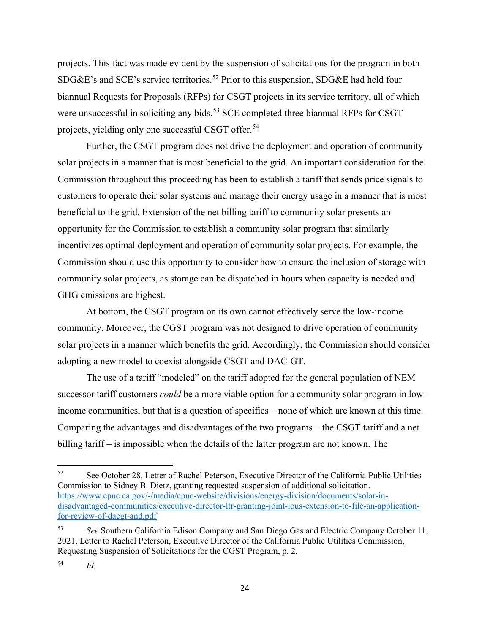projects. This fact was made evident by the suspension of solicitations for the program in both SDG&E's and SCE's service territories.<sup>[52](#page-29-0)</sup> Prior to this suspension, SDG&E had held four biannual Requests for Proposals (RFPs) for CSGT projects in its service territory, all of which were unsuccessful in soliciting any bids.<sup>[53](#page-29-1)</sup> SCE completed three biannual RFPs for CSGT projects, yielding only one successful CSGT offer.<sup>54</sup>

Further, the CSGT program does not drive the deployment and operation of community solar projects in a manner that is most beneficial to the grid. An important consideration for the Commission throughout this proceeding has been to establish a tariff that sends price signals to customers to operate their solar systems and manage their energy usage in a manner that is most beneficial to the grid. Extension of the net billing tariff to community solar presents an opportunity for the Commission to establish a community solar program that similarly incentivizes optimal deployment and operation of community solar projects. For example, the Commission should use this opportunity to consider how to ensure the inclusion of storage with community solar projects, as storage can be dispatched in hours when capacity is needed and GHG emissions are highest.

At bottom, the CSGT program on its own cannot effectively serve the low-income community. Moreover, the CGST program was not designed to drive operation of community solar projects in a manner which benefits the grid. Accordingly, the Commission should consider adopting a new model to coexist alongside CSGT and DAC-GT.

The use of a tariff "modeled" on the tariff adopted for the general population of NEM successor tariff customers *could* be a more viable option for a community solar program in lowincome communities, but that is a question of specifics – none of which are known at this time. Comparing the advantages and disadvantages of the two programs – the CSGT tariff and a net billing tariff – is impossible when the details of the latter program are not known. The

<span id="page-29-0"></span><sup>&</sup>lt;sup>52</sup> See October 28, Letter of Rachel Peterson, Executive Director of the California Public Utilities Commission to Sidney B. Dietz, granting requested suspension of additional solicitation. [https://www.cpuc.ca.gov/-/media/cpuc-website/divisions/energy-division/documents/solar-in](https://www.cpuc.ca.gov/-/media/cpuc-website/divisions/energy-division/documents/solar-in-disadvantaged-communities/executive-director-ltr-granting-joint-ious-extension-to-file-an-application-for-review-of-dacgt-and.pdf)[disadvantaged-communities/executive-director-ltr-granting-joint-ious-extension-to-file-an-application](https://www.cpuc.ca.gov/-/media/cpuc-website/divisions/energy-division/documents/solar-in-disadvantaged-communities/executive-director-ltr-granting-joint-ious-extension-to-file-an-application-for-review-of-dacgt-and.pdf)[for-review-of-dacgt-and.pdf](https://www.cpuc.ca.gov/-/media/cpuc-website/divisions/energy-division/documents/solar-in-disadvantaged-communities/executive-director-ltr-granting-joint-ious-extension-to-file-an-application-for-review-of-dacgt-and.pdf)

<span id="page-29-1"></span><sup>53</sup> *See* Southern California Edison Company and San Diego Gas and Electric Company October 11, 2021, Letter to Rachel Peterson, Executive Director of the California Public Utilities Commission, Requesting Suspension of Solicitations for the CGST Program, p. 2.

<span id="page-29-2"></span><sup>54</sup> *Id.*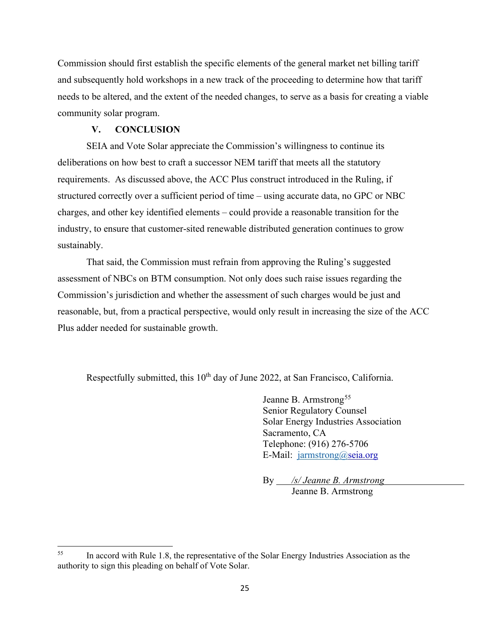Commission should first establish the specific elements of the general market net billing tariff and subsequently hold workshops in a new track of the proceeding to determine how that tariff needs to be altered, and the extent of the needed changes, to serve as a basis for creating a viable community solar program.

#### **V. CONCLUSION**

SEIA and Vote Solar appreciate the Commission's willingness to continue its deliberations on how best to craft a successor NEM tariff that meets all the statutory requirements. As discussed above, the ACC Plus construct introduced in the Ruling, if structured correctly over a sufficient period of time – using accurate data, no GPC or NBC charges, and other key identified elements – could provide a reasonable transition for the industry, to ensure that customer-sited renewable distributed generation continues to grow sustainably.

That said, the Commission must refrain from approving the Ruling's suggested assessment of NBCs on BTM consumption. Not only does such raise issues regarding the Commission's jurisdiction and whether the assessment of such charges would be just and reasonable, but, from a practical perspective, would only result in increasing the size of the ACC Plus adder needed for sustainable growth.

Respectfully submitted, this  $10<sup>th</sup>$  day of June 2022, at San Francisco, California.

Jeanne B. Armstrong<sup>[55](#page-30-0)</sup> Senior Regulatory Counsel Solar Energy Industries Association Sacramento, CA Telephone: (916) 276-5706 E-Mail: [jarmstrong@s](mailto:jarmstrong@)eia.org

By */s/ Jeanne B. Armstrong* Jeanne B. Armstrong

<span id="page-30-0"></span><sup>&</sup>lt;sup>55</sup> In accord with Rule 1.8, the representative of the Solar Energy Industries Association as the authority to sign this pleading on behalf of Vote Solar.